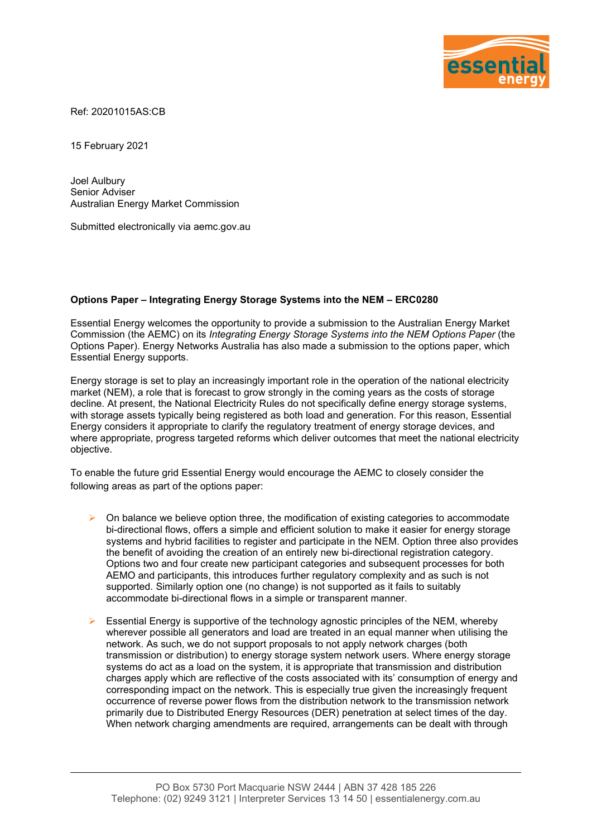

Ref: 20201015AS:CB

15 February 2021

Joel Aulbury Senior Adviser Australian Energy Market Commission

Submitted electronically via aemc.gov.au

## **Options Paper – Integrating Energy Storage Systems into the NEM – ERC0280**

Essential Energy welcomes the opportunity to provide a submission to the Australian Energy Market Commission (the AEMC) on its *Integrating Energy Storage Systems into the NEM Options Paper* (the Options Paper). Energy Networks Australia has also made a submission to the options paper, which Essential Energy supports.

Energy storage is set to play an increasingly important role in the operation of the national electricity market (NEM), a role that is forecast to grow strongly in the coming years as the costs of storage decline. At present, the National Electricity Rules do not specifically define energy storage systems, with storage assets typically being registered as both load and generation. For this reason, Essential Energy considers it appropriate to clarify the regulatory treatment of energy storage devices, and where appropriate, progress targeted reforms which deliver outcomes that meet the national electricity objective.

To enable the future grid Essential Energy would encourage the AEMC to closely consider the following areas as part of the options paper:

- $\triangleright$  On balance we believe option three, the modification of existing categories to accommodate bi-directional flows, offers a simple and efficient solution to make it easier for energy storage systems and hybrid facilities to register and participate in the NEM. Option three also provides the benefit of avoiding the creation of an entirely new bi-directional registration category. Options two and four create new participant categories and subsequent processes for both AEMO and participants, this introduces further regulatory complexity and as such is not supported. Similarly option one (no change) is not supported as it fails to suitably accommodate bi-directional flows in a simple or transparent manner.
- Essential Energy is supportive of the technology agnostic principles of the NEM, whereby wherever possible all generators and load are treated in an equal manner when utilising the network. As such, we do not support proposals to not apply network charges (both transmission or distribution) to energy storage system network users. Where energy storage systems do act as a load on the system, it is appropriate that transmission and distribution charges apply which are reflective of the costs associated with its' consumption of energy and corresponding impact on the network. This is especially true given the increasingly frequent occurrence of reverse power flows from the distribution network to the transmission network primarily due to Distributed Energy Resources (DER) penetration at select times of the day. When network charging amendments are required, arrangements can be dealt with through